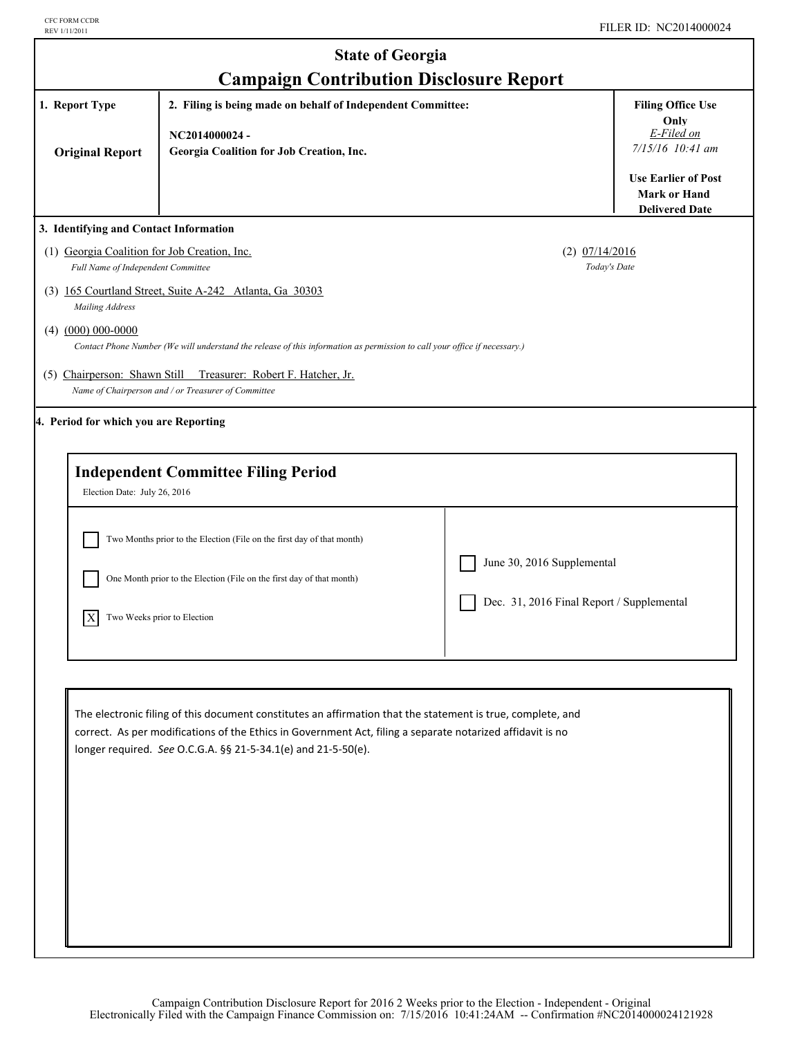| <b>State of Georgia</b>                                                                                                                                                                                   |                                                                                                                                                                                                                                                                                            |                                                                         |                                                                            |  |
|-----------------------------------------------------------------------------------------------------------------------------------------------------------------------------------------------------------|--------------------------------------------------------------------------------------------------------------------------------------------------------------------------------------------------------------------------------------------------------------------------------------------|-------------------------------------------------------------------------|----------------------------------------------------------------------------|--|
| 1. Report Type<br><b>Original Report</b>                                                                                                                                                                  | <b>Campaign Contribution Disclosure Report</b><br>2. Filing is being made on behalf of Independent Committee:<br>NC2014000024-<br>Georgia Coalition for Job Creation, Inc.                                                                                                                 |                                                                         | <b>Filing Office Use</b><br>Only<br>E-Filed on<br>$7/15/16$ 10:41 am       |  |
|                                                                                                                                                                                                           |                                                                                                                                                                                                                                                                                            |                                                                         | <b>Use Earlier of Post</b><br><b>Mark or Hand</b><br><b>Delivered Date</b> |  |
| 3. Identifying and Contact Information<br>(1) Georgia Coalition for Job Creation, Inc.<br>Full Name of Independent Committee<br>Mailing Address<br>$(4)$ $(000)$ 000-0000<br>(5) Chairperson: Shawn Still | (3) 165 Courtland Street, Suite A-242 Atlanta, Ga 30303<br>Contact Phone Number (We will understand the release of this information as permission to call your office if necessary.)<br>Treasurer: Robert F. Hatcher, Jr.                                                                  | $(2)$ $07/14/2016$<br>Today's Date                                      |                                                                            |  |
| 4. Period for which you are Reporting<br>Election Date: July 26, 2016                                                                                                                                     | Name of Chairperson and / or Treasurer of Committee<br><b>Independent Committee Filing Period</b>                                                                                                                                                                                          |                                                                         |                                                                            |  |
| X                                                                                                                                                                                                         | Two Months prior to the Election (File on the first day of that month)<br>One Month prior to the Election (File on the first day of that month)<br>Two Weeks prior to Election                                                                                                             | June 30, 2016 Supplemental<br>Dec. 31, 2016 Final Report / Supplemental |                                                                            |  |
|                                                                                                                                                                                                           | The electronic filing of this document constitutes an affirmation that the statement is true, complete, and<br>correct. As per modifications of the Ethics in Government Act, filing a separate notarized affidavit is no<br>longer required. See O.C.G.A. §§ 21-5-34.1(e) and 21-5-50(e). |                                                                         |                                                                            |  |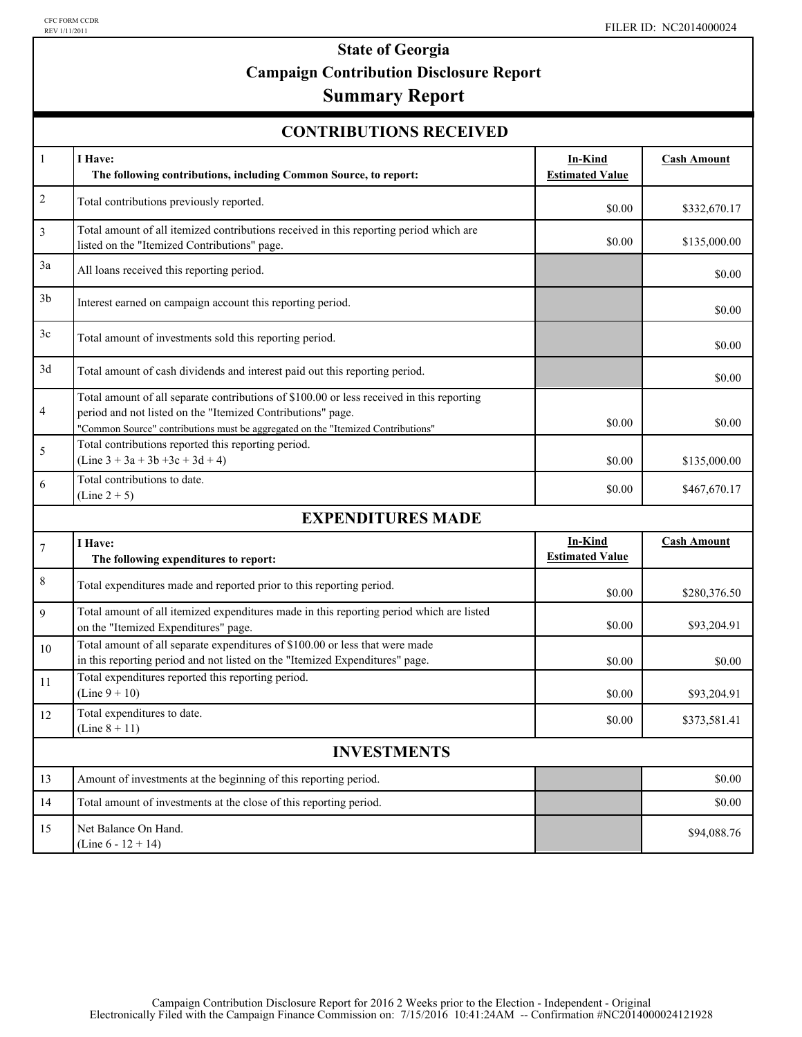# **State of Georgia Campaign Contribution Disclosure Report**

## **Summary Report**

| <b>CONTRIBUTIONS RECEIVED</b> |  |
|-------------------------------|--|
|-------------------------------|--|

| $\mathbf{1}$       | I Have:<br>The following contributions, including Common Source, to report:                                                                                                                                                                  | In-Kind<br><b>Estimated Value</b> | <b>Cash Amount</b> |  |
|--------------------|----------------------------------------------------------------------------------------------------------------------------------------------------------------------------------------------------------------------------------------------|-----------------------------------|--------------------|--|
| $\overline{c}$     | Total contributions previously reported.                                                                                                                                                                                                     | \$0.00                            | \$332,670.17       |  |
| 3                  | Total amount of all itemized contributions received in this reporting period which are<br>listed on the "Itemized Contributions" page.                                                                                                       | \$0.00                            | \$135,000.00       |  |
| 3a                 | All loans received this reporting period.                                                                                                                                                                                                    |                                   | \$0.00             |  |
| 3 <sub>b</sub>     | Interest earned on campaign account this reporting period.                                                                                                                                                                                   |                                   | \$0.00             |  |
| 3c                 | Total amount of investments sold this reporting period.                                                                                                                                                                                      |                                   | \$0.00             |  |
| 3d                 | Total amount of cash dividends and interest paid out this reporting period.                                                                                                                                                                  |                                   | \$0.00             |  |
| 4                  | Total amount of all separate contributions of \$100.00 or less received in this reporting<br>period and not listed on the "Itemized Contributions" page.<br>"Common Source" contributions must be aggregated on the "Itemized Contributions" | \$0.00                            | \$0.00             |  |
| 5                  | Total contributions reported this reporting period.<br>$(Line 3 + 3a + 3b + 3c + 3d + 4)$                                                                                                                                                    | \$0.00                            | \$135,000.00       |  |
| 6                  | Total contributions to date.<br>$(Line 2 + 5)$                                                                                                                                                                                               | \$0.00                            | \$467,670.17       |  |
|                    | <b>EXPENDITURES MADE</b>                                                                                                                                                                                                                     |                                   |                    |  |
| $\tau$             | I Have:<br>The following expenditures to report:                                                                                                                                                                                             | In-Kind<br><b>Estimated Value</b> | <b>Cash Amount</b> |  |
| 8                  | Total expenditures made and reported prior to this reporting period.                                                                                                                                                                         | \$0.00                            | \$280,376.50       |  |
| 9                  | Total amount of all itemized expenditures made in this reporting period which are listed<br>on the "Itemized Expenditures" page.                                                                                                             | \$0.00                            | \$93,204.91        |  |
| 10                 | Total amount of all separate expenditures of \$100.00 or less that were made<br>in this reporting period and not listed on the "Itemized Expenditures" page.                                                                                 | \$0.00                            | \$0.00             |  |
| 11                 | Total expenditures reported this reporting period.<br>$(Line 9 + 10)$                                                                                                                                                                        | \$0.00                            | \$93,204.91        |  |
| 12                 | Total expenditures to date.<br>(Line $8 + 11$ )                                                                                                                                                                                              | \$0.00                            | \$373,581.41       |  |
| <b>INVESTMENTS</b> |                                                                                                                                                                                                                                              |                                   |                    |  |
| 13                 | Amount of investments at the beginning of this reporting period.                                                                                                                                                                             |                                   | \$0.00             |  |
| 14                 | Total amount of investments at the close of this reporting period.                                                                                                                                                                           |                                   | \$0.00             |  |
| 15                 | Net Balance On Hand.<br>(Line $6 - 12 + 14$ )                                                                                                                                                                                                |                                   | \$94,088.76        |  |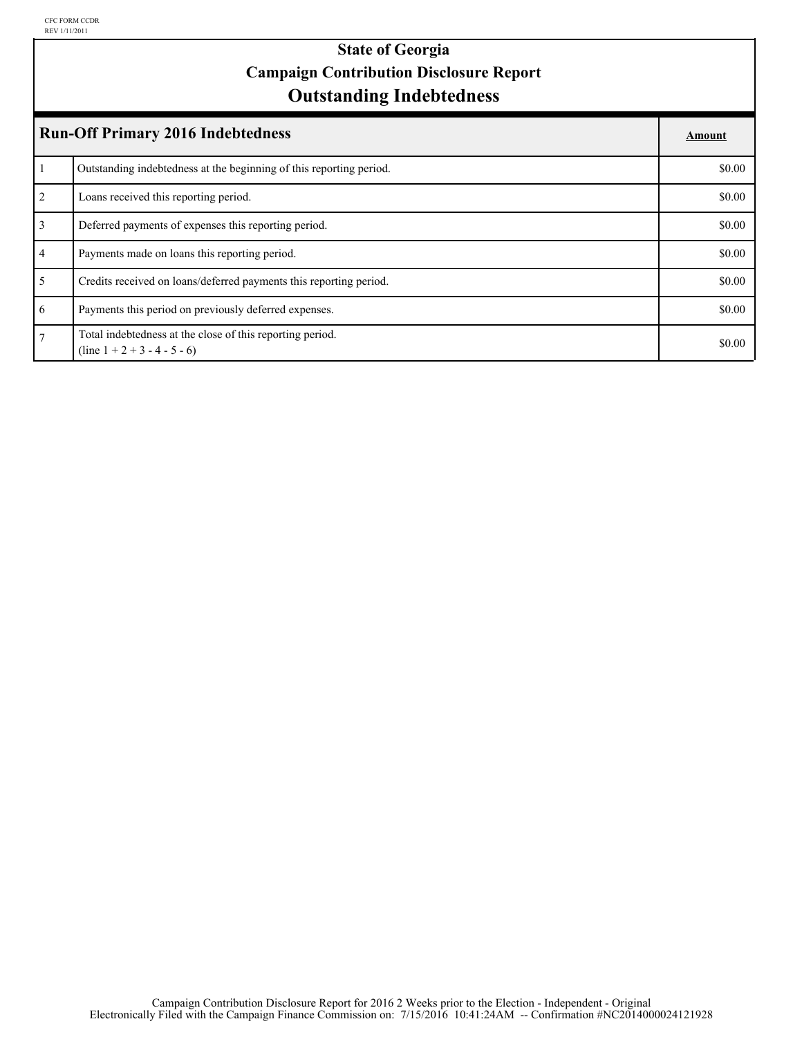## **Outstanding Indebtedness State of Georgia Campaign Contribution Disclosure Report**

| <b>Run-Off Primary 2016 Indebtedness</b> |                                                                                             |        |
|------------------------------------------|---------------------------------------------------------------------------------------------|--------|
|                                          | Outstanding indebtedness at the beginning of this reporting period.                         | \$0.00 |
| 2                                        | Loans received this reporting period.                                                       | \$0.00 |
| $\overline{3}$                           | Deferred payments of expenses this reporting period.                                        | \$0.00 |
| $\overline{4}$                           | Payments made on loans this reporting period.                                               | \$0.00 |
| 5                                        | Credits received on loans/deferred payments this reporting period.                          | \$0.00 |
| 6                                        | Payments this period on previously deferred expenses.                                       | \$0.00 |
| $\overline{7}$                           | Total indebtedness at the close of this reporting period.<br>$(line 1 + 2 + 3 - 4 - 5 - 6)$ | \$0.00 |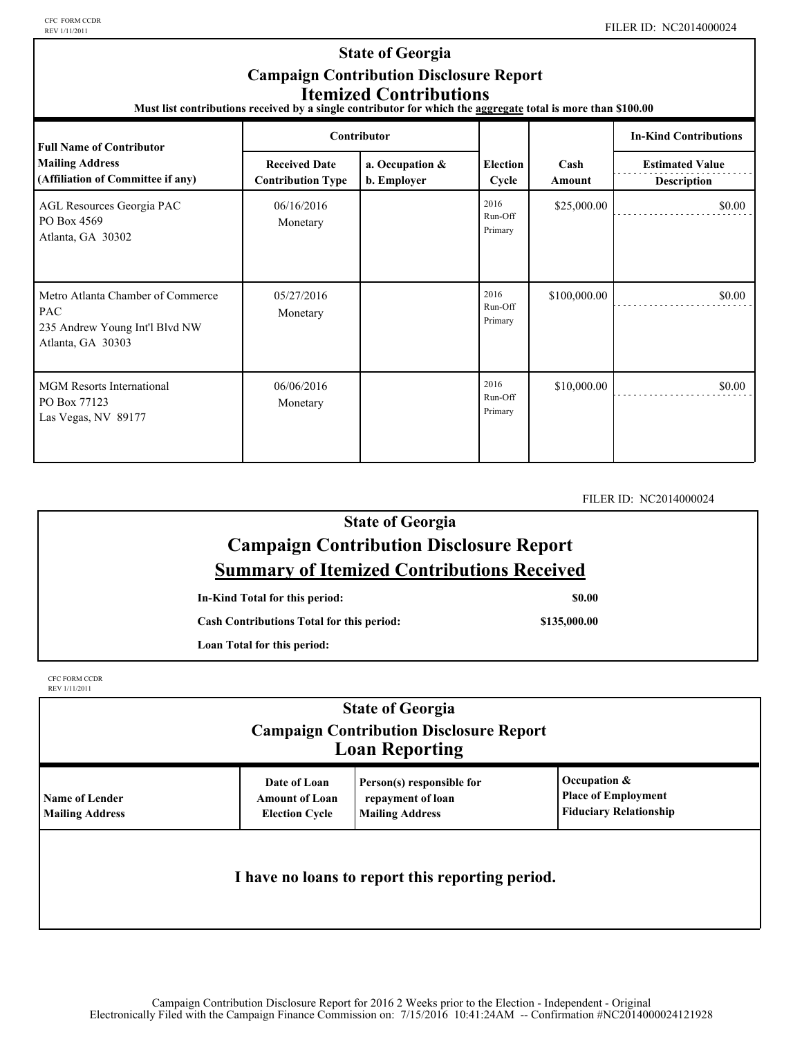CFC FORM CCDR<br>REV 1/11/2011

#### **State of Georgia Campaign Contribution Disclosure Report Itemized Contributions**

**Must list contributions received by a single contributor for which the aggregate total is more than \$100.00** 

| <b>Full Name of Contributor</b>                                                                        | Contributor                                      |                                |                            |                | <b>In-Kind Contributions</b>                 |
|--------------------------------------------------------------------------------------------------------|--------------------------------------------------|--------------------------------|----------------------------|----------------|----------------------------------------------|
| <b>Mailing Address</b><br>(Affiliation of Committee if any)                                            | <b>Received Date</b><br><b>Contribution Type</b> | a. Occupation &<br>b. Employer | <b>Election</b><br>Cycle   | Cash<br>Amount | <b>Estimated Value</b><br><b>Description</b> |
| AGL Resources Georgia PAC<br>PO Box 4569<br>Atlanta, GA 30302                                          | 06/16/2016<br>Monetary                           |                                | 2016<br>Run-Off<br>Primary | \$25,000.00    | \$0.00                                       |
| Metro Atlanta Chamber of Commerce<br><b>PAC</b><br>235 Andrew Young Int'l Blvd NW<br>Atlanta, GA 30303 | 05/27/2016<br>Monetary                           |                                | 2016<br>Run-Off<br>Primary | \$100,000.00   | \$0.00                                       |
| <b>MGM Resorts International</b><br>PO Box 77123<br>Las Vegas, NV 89177                                | 06/06/2016<br>Monetary                           |                                | 2016<br>Run-Off<br>Primary | \$10,000.00    | \$0.00                                       |

FILER ID: NC2014000024

### **State of Georgia Campaign Contribution Disclosure Report Summary of Itemized Contributions Received**

**In-Kind Total for this period:**

**Cash Contributions Total for this period:**

**\$0.00**

**Loan Total for this period:**

CFC FORM CCDR REV 1/11/2011

| <b>State of Georgia</b><br><b>Campaign Contribution Disclosure Report</b><br><b>Loan Reporting</b> |                                                                |                                                                          |                                                                             |  |
|----------------------------------------------------------------------------------------------------|----------------------------------------------------------------|--------------------------------------------------------------------------|-----------------------------------------------------------------------------|--|
| <b>Name of Lender</b><br><b>Mailing Address</b>                                                    | Date of Loan<br><b>Amount of Loan</b><br><b>Election Cycle</b> | Person(s) responsible for<br>repayment of loan<br><b>Mailing Address</b> | Occupation &<br><b>Place of Employment</b><br><b>Fiduciary Relationship</b> |  |
| I have no loans to report this reporting period.                                                   |                                                                |                                                                          |                                                                             |  |

**\$135,000.00**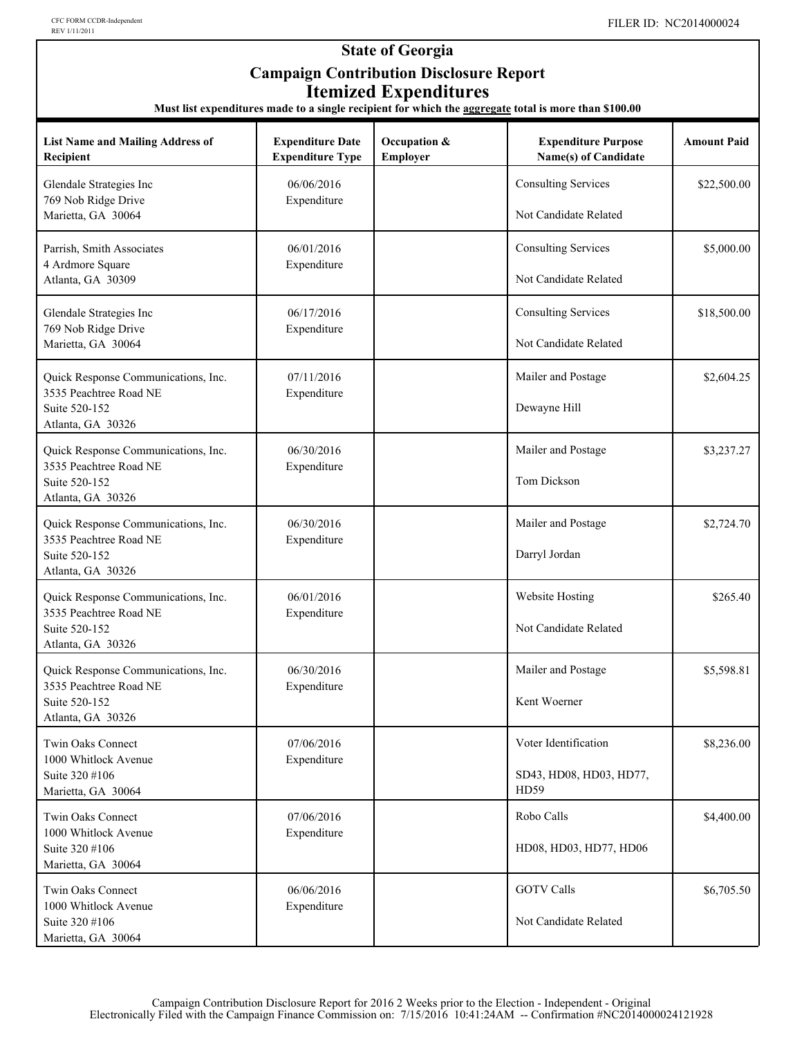#### **State of Georgia Campaign Contribution Disclosure Report Itemized Expenditures**

**Must list expenditures made to a single recipient for which the aggregate total is more than \$100.00**

| <b>List Name and Mailing Address of</b><br>Recipient                                                | <b>Expenditure Date</b><br><b>Expenditure Type</b> | Occupation &<br>Employer | <b>Expenditure Purpose</b><br>Name(s) of Candidate      | <b>Amount Paid</b> |
|-----------------------------------------------------------------------------------------------------|----------------------------------------------------|--------------------------|---------------------------------------------------------|--------------------|
| Glendale Strategies Inc<br>769 Nob Ridge Drive<br>Marietta, GA 30064                                | 06/06/2016<br>Expenditure                          |                          | <b>Consulting Services</b><br>Not Candidate Related     | \$22,500.00        |
| Parrish, Smith Associates<br>4 Ardmore Square<br>Atlanta, GA 30309                                  | 06/01/2016<br>Expenditure                          |                          | <b>Consulting Services</b><br>Not Candidate Related     | \$5,000.00         |
| Glendale Strategies Inc<br>769 Nob Ridge Drive<br>Marietta, GA 30064                                | 06/17/2016<br>Expenditure                          |                          | <b>Consulting Services</b><br>Not Candidate Related     | \$18,500.00        |
| Quick Response Communications, Inc.<br>3535 Peachtree Road NE<br>Suite 520-152<br>Atlanta, GA 30326 | 07/11/2016<br>Expenditure                          |                          | Mailer and Postage<br>Dewayne Hill                      | \$2,604.25         |
| Quick Response Communications, Inc.<br>3535 Peachtree Road NE<br>Suite 520-152<br>Atlanta, GA 30326 | 06/30/2016<br>Expenditure                          |                          | Mailer and Postage<br>Tom Dickson                       | \$3,237.27         |
| Quick Response Communications, Inc.<br>3535 Peachtree Road NE<br>Suite 520-152<br>Atlanta, GA 30326 | 06/30/2016<br>Expenditure                          |                          | Mailer and Postage<br>Darryl Jordan                     | \$2,724.70         |
| Quick Response Communications, Inc.<br>3535 Peachtree Road NE<br>Suite 520-152<br>Atlanta, GA 30326 | 06/01/2016<br>Expenditure                          |                          | Website Hosting<br>Not Candidate Related                | \$265.40           |
| Quick Response Communications, Inc.<br>3535 Peachtree Road NE<br>Suite 520-152<br>Atlanta, GA 30326 | 06/30/2016<br>Expenditure                          |                          | Mailer and Postage<br>Kent Woerner                      | \$5,598.81         |
| Twin Oaks Connect<br>1000 Whitlock Avenue<br>Suite 320 #106<br>Marietta, GA 30064                   | 07/06/2016<br>Expenditure                          |                          | Voter Identification<br>SD43, HD08, HD03, HD77,<br>HD59 | \$8,236.00         |
| Twin Oaks Connect<br>1000 Whitlock Avenue<br>Suite 320 #106<br>Marietta, GA 30064                   | 07/06/2016<br>Expenditure                          |                          | Robo Calls<br>HD08, HD03, HD77, HD06                    | \$4,400.00         |
| Twin Oaks Connect<br>1000 Whitlock Avenue<br>Suite 320 #106<br>Marietta, GA 30064                   | 06/06/2016<br>Expenditure                          |                          | <b>GOTV Calls</b><br>Not Candidate Related              | \$6,705.50         |